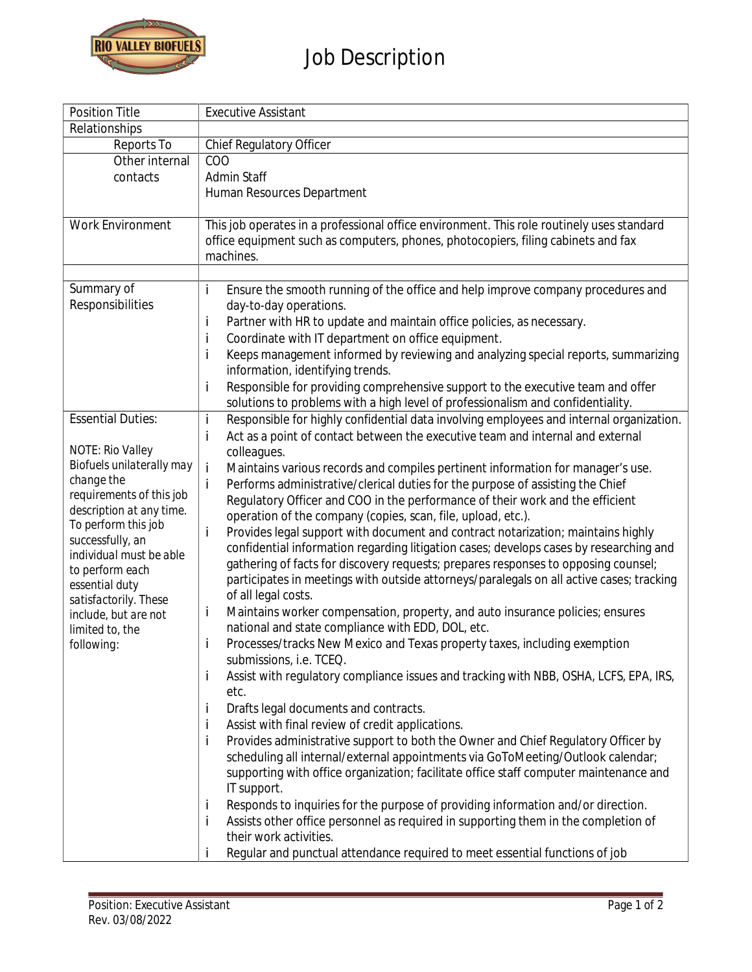

## **Job Description**

| Position Title                                  | <b>Executive Assistant</b>                                                                                                                                                                  |
|-------------------------------------------------|---------------------------------------------------------------------------------------------------------------------------------------------------------------------------------------------|
| Relationships                                   |                                                                                                                                                                                             |
| Reports To                                      | Chief Regulatory Officer                                                                                                                                                                    |
| Other internal                                  | COO                                                                                                                                                                                         |
| contacts                                        | Admin Staff                                                                                                                                                                                 |
|                                                 | Human Resources Department                                                                                                                                                                  |
|                                                 |                                                                                                                                                                                             |
| Work Environment                                | This job operates in a professional office environment. This role routinely uses standard<br>office equipment such as computers, phones, photocopiers, filing cabinets and fax<br>machines. |
|                                                 |                                                                                                                                                                                             |
| Summary of<br>Responsibilities                  | Ensure the smooth running of the office and help improve company procedures and<br>i<br>day-to-day operations.                                                                              |
|                                                 | Partner with HR to update and maintain office policies, as necessary.<br>İ                                                                                                                  |
|                                                 | Coordinate with IT department on office equipment.<br>i                                                                                                                                     |
|                                                 | Keeps management informed by reviewing and analyzing special reports, summarizing<br>i<br>information, identifying trends.                                                                  |
|                                                 | i<br>Responsible for providing comprehensive support to the executive team and offer<br>solutions to problems with a high level of professionalism and confidentiality.                     |
| <b>Essential Duties:</b>                        | İ<br>Responsible for highly confidential data involving employees and internal organization.                                                                                                |
|                                                 | Act as a point of contact between the executive team and internal and external<br>i                                                                                                         |
| NOTE: Rio Valley                                | colleagues.                                                                                                                                                                                 |
| Biofuels unilaterally may                       | İ<br>Maintains various records and compiles pertinent information for manager's use.                                                                                                        |
| change the                                      | Performs administrative/clerical duties for the purpose of assisting the Chief<br>j.                                                                                                        |
| requirements of this job                        | Regulatory Officer and COO in the performance of their work and the efficient                                                                                                               |
| description at any time.<br>To perform this job | operation of the company (copies, scan, file, upload, etc.).                                                                                                                                |
| successfully, an                                | i<br>Provides legal support with document and contract notarization; maintains highly                                                                                                       |
| individual must be able                         | confidential information regarding litigation cases; develops cases by researching and                                                                                                      |
| to perform each                                 | gathering of facts for discovery requests; prepares responses to opposing counsel;                                                                                                          |
| essential duty                                  | participates in meetings with outside attorneys/paralegals on all active cases; tracking                                                                                                    |
| satisfactorily. These                           | of all legal costs.                                                                                                                                                                         |
| include, but are not                            | Maintains worker compensation, property, and auto insurance policies; ensures<br>İ                                                                                                          |
| limited to, the                                 | national and state compliance with EDD, DOL, etc.                                                                                                                                           |
| following:                                      | Processes/tracks New Mexico and Texas property taxes, including exemption<br>i                                                                                                              |
|                                                 | submissions, i.e. TCEQ.                                                                                                                                                                     |
|                                                 | Assist with regulatory compliance issues and tracking with NBB, OSHA, LCFS, EPA, IRS,<br>L                                                                                                  |
|                                                 | etc.                                                                                                                                                                                        |
|                                                 | Drafts legal documents and contracts.<br>Ť                                                                                                                                                  |
|                                                 | Assist with final review of credit applications.<br>j                                                                                                                                       |
|                                                 | İ<br>Provides administrative support to both the Owner and Chief Regulatory Officer by                                                                                                      |
|                                                 | scheduling all internal/external appointments via GoToMeeting/Outlook calendar;                                                                                                             |
|                                                 | supporting with office organization; facilitate office staff computer maintenance and                                                                                                       |
|                                                 | IT support.                                                                                                                                                                                 |
|                                                 | Responds to inquiries for the purpose of providing information and/or direction.<br>L                                                                                                       |
|                                                 | Assists other office personnel as required in supporting them in the completion of<br>İ                                                                                                     |
|                                                 | their work activities.                                                                                                                                                                      |
|                                                 | Regular and punctual attendance required to meet essential functions of job                                                                                                                 |